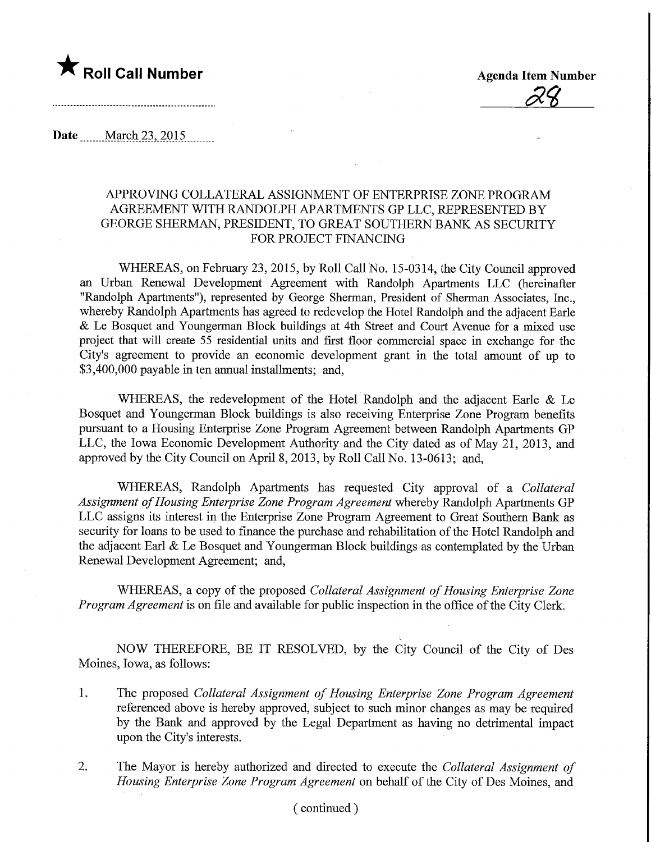

**Agenda Item Number** 

Date <u>March 23</u>, 2015

## APPROVING COLLATERAL ASSIGNMENT OF ENTERPRISE ZONE PROGRAM AGREEMENT WITH RANDOLPH APARTMENTS GP LLC, REPRESENTED BY GEORGE SHERMAN, PRESIDENT, TO GREAT SOUTHERN BANK AS SECURITY FOR PROJECT FINANCING

WHEREAS, on February 23, 2015, by Roll Call No. 15-0314, the City Council approved an Urban Renewal Development Agreement with Randolph Apartments LLC (hereinafter "Randolph Apartments"), represented by George Sherman, President of Sherman Associates, Inc., whereby Randolph Apartments has agreed to redevelop the Hotel Randolph and the adjacent Earie & Le Bosquet and Youngerman Block buildings at 4th Street and Court Avenue for a mixed use project that will create 55 residential units and first floor commercial space in exchange for the City's agreement to provide an economic development grant in the total amount of up to \$3,400,000 payable in ten annual installments; and,

WHEREAS, the redevelopment of the Hotel Randolph and the adjacent Earle & Le Bosquet and Youngerman Block buildings is also receiving Enterprise Zone Program benefits pursuant to a Housing Enterprise Zone Program Agreement between Randolph Apartments GP LLC, the Iowa Economic Development Authority and the City dated as of May 21, 2013, and approved by the City Council on April 8, 2013, by Roll Call No. 13-0613; and,

WHEREAS, Randolph Apartments has requested City approval of a Collateral Assignment of Housing Enterprise Zone Program Agreement whereby Randolph Apartments GP LLC assigns its interest in the Enterprise Zone Program Agreement to Great Southern Bank as security for loans to be used to finance the purchase and rehabilitation of the Hotel Randolph and the adjacent Earl  $\&$  Le Bosquet and Youngerman Block buildings as contemplated by the Urban Renewal Development Agreement; and,

WHEREAS, a copy of the proposed Collateral Assignment of Housing Enterprise Zone Program Agreement is on file and available for public inspection in the office of the City Clerk.

NOW THEREFORE, BE IT RESOLVED, by the City Council of the City of Des Moines, Iowa, as follows:

- 1. The proposed Collateral Assignment of Housing Enterprise Zone Program Agreement referenced above is hereby approved, subject to such minor changes as may be required by the Bank and approved by the Legal Department as having no detrimental impact upon the City's interests.
- 2. The Mayor is hereby authorized and directed to execute the Collateral Assignment of Housing Enterprise Zone Program Agreement on behalf of the City of Des Moines, and

(continued )